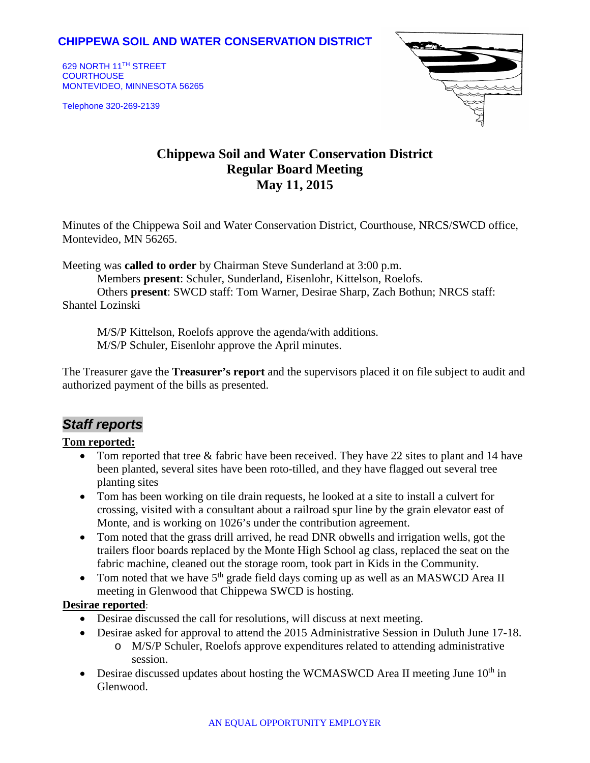## **CHIPPEWA SOIL AND WATER CONSERVATION DISTRICT**

629 NORTH 11TH STREET **COURTHOUSE** MONTEVIDEO, MINNESOTA 56265

Telephone 320-269-2139



# **Chippewa Soil and Water Conservation District Regular Board Meeting May 11, 2015**

Minutes of the Chippewa Soil and Water Conservation District, Courthouse, NRCS/SWCD office, Montevideo, MN 56265.

Meeting was **called to order** by Chairman Steve Sunderland at 3:00 p.m.

Members **present**: Schuler, Sunderland, Eisenlohr, Kittelson, Roelofs.

Others **present**: SWCD staff: Tom Warner, Desirae Sharp, Zach Bothun; NRCS staff: Shantel Lozinski

M/S/P Kittelson, Roelofs approve the agenda/with additions. M/S/P Schuler, Eisenlohr approve the April minutes.

The Treasurer gave the **Treasurer's report** and the supervisors placed it on file subject to audit and authorized payment of the bills as presented.

# *Staff reports*

#### **Tom reported:**

- Tom reported that tree & fabric have been received. They have 22 sites to plant and 14 have been planted, several sites have been roto-tilled, and they have flagged out several tree planting sites
- Tom has been working on tile drain requests, he looked at a site to install a culvert for crossing, visited with a consultant about a railroad spur line by the grain elevator east of Monte, and is working on 1026's under the contribution agreement.
- Tom noted that the grass drill arrived, he read DNR obwells and irrigation wells, got the trailers floor boards replaced by the Monte High School ag class, replaced the seat on the fabric machine, cleaned out the storage room, took part in Kids in the Community.
- Tom noted that we have  $5<sup>th</sup>$  grade field days coming up as well as an MASWCD Area II meeting in Glenwood that Chippewa SWCD is hosting.

#### **Desirae reported**:

- Desirae discussed the call for resolutions, will discuss at next meeting.
- Desirae asked for approval to attend the 2015 Administrative Session in Duluth June 17-18.
	- o M/S/P Schuler, Roelofs approve expenditures related to attending administrative session.
- Desirae discussed updates about hosting the WCMASWCD Area II meeting June  $10<sup>th</sup>$  in Glenwood.